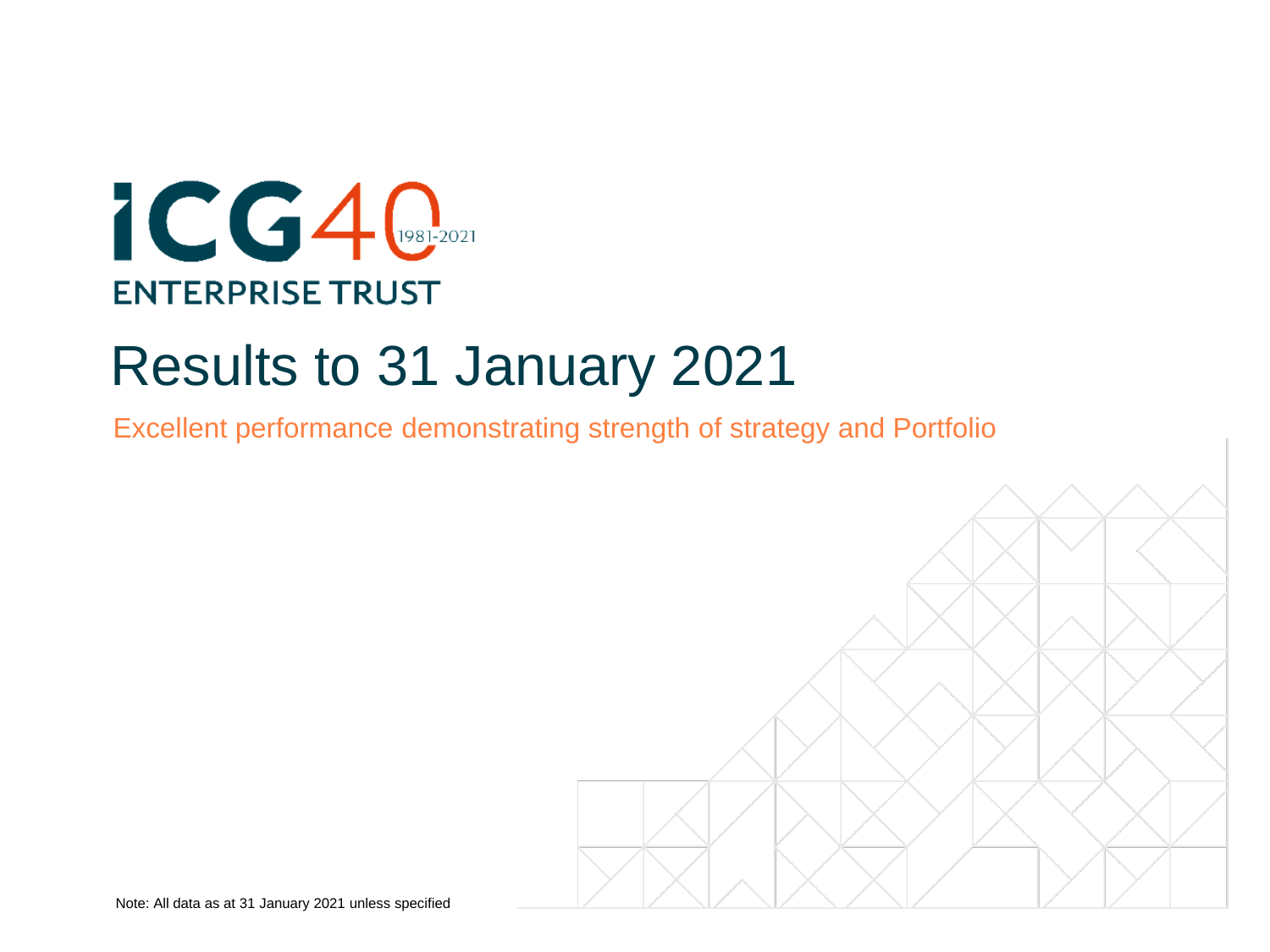

# Results to 31 January 2021

Excellent performance demonstrating strength of strategy and Portfolio

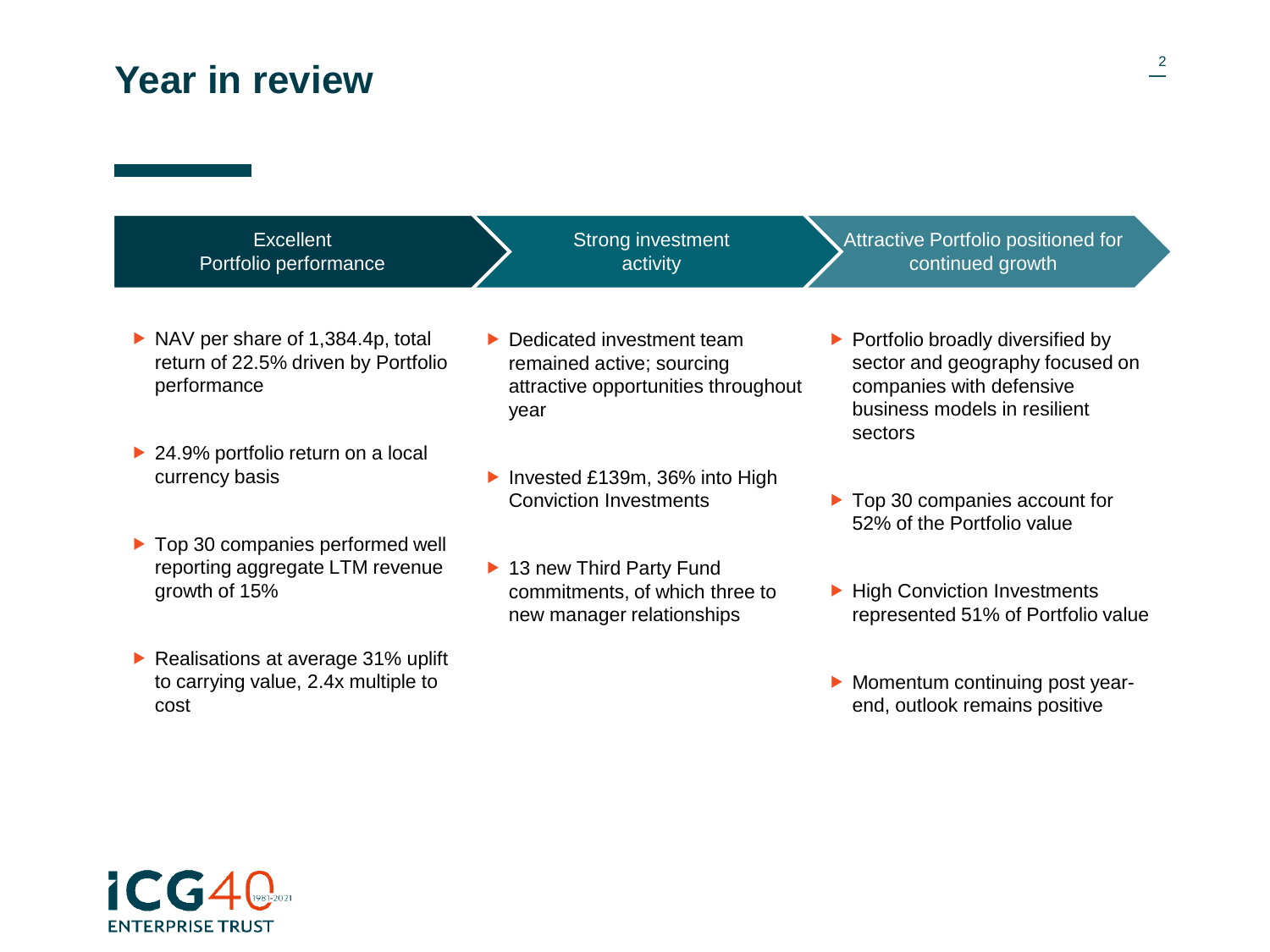## **Year in review**

| Excellent<br>Portfolio performance                                                                      | <b>Strong investment</b><br>activity                                                                  | Attractive Portfolio positioned for<br>continued growth                                                                                                     |
|---------------------------------------------------------------------------------------------------------|-------------------------------------------------------------------------------------------------------|-------------------------------------------------------------------------------------------------------------------------------------------------------------|
|                                                                                                         |                                                                                                       |                                                                                                                                                             |
| $\triangleright$ NAV per share of 1,384.4p, total<br>return of 22.5% driven by Portfolio<br>performance | Dedicated investment team<br>remained active; sourcing<br>attractive opportunities throughout<br>year | $\triangleright$ Portfolio broadly diversified by<br>sector and geography focused on<br>companies with defensive<br>business models in resilient<br>sectors |
| ▶ 24.9% portfolio return on a local<br>currency basis                                                   | Invested £139m, 36% into High                                                                         |                                                                                                                                                             |
|                                                                                                         | <b>Conviction Investments</b>                                                                         | $\triangleright$ Top 30 companies account for<br>52% of the Portfolio value                                                                                 |
| ▶ Top 30 companies performed well<br>reporting aggregate LTM revenue<br>growth of 15%                   | ▶ 13 new Third Party Fund<br>commitments, of which three to<br>new manager relationships              | ▶ High Conviction Investments<br>represented 51% of Portfolio value                                                                                         |
| Realisations at average $31\%$ uplift<br>to carrying value, 2.4x multiple to<br>cost                    |                                                                                                       | Momentum continuing post year-<br>end, outlook remains positive                                                                                             |

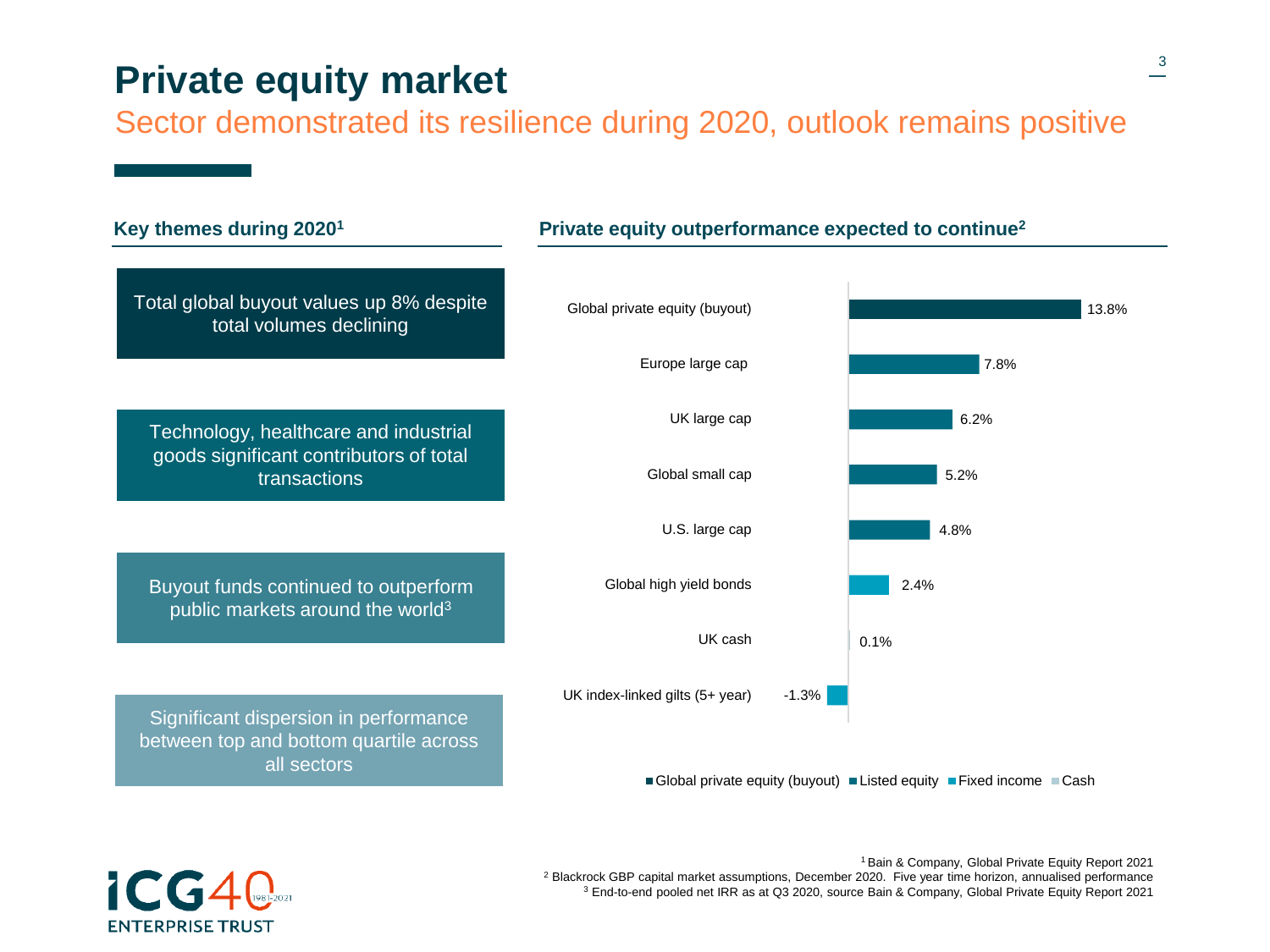#### **Private equity market**

Sector demonstrated its resilience during 2020, outlook remains positive





<sup>1</sup>Bain & Company, Global Private Equity Report 2021 <sup>2</sup> Blackrock GBP capital market assumptions, December 2020. Five year time horizon, annualised performance <sup>3</sup> End-to-end pooled net IRR as at Q3 2020, source Bain & Company, Global Private Equity Report 2021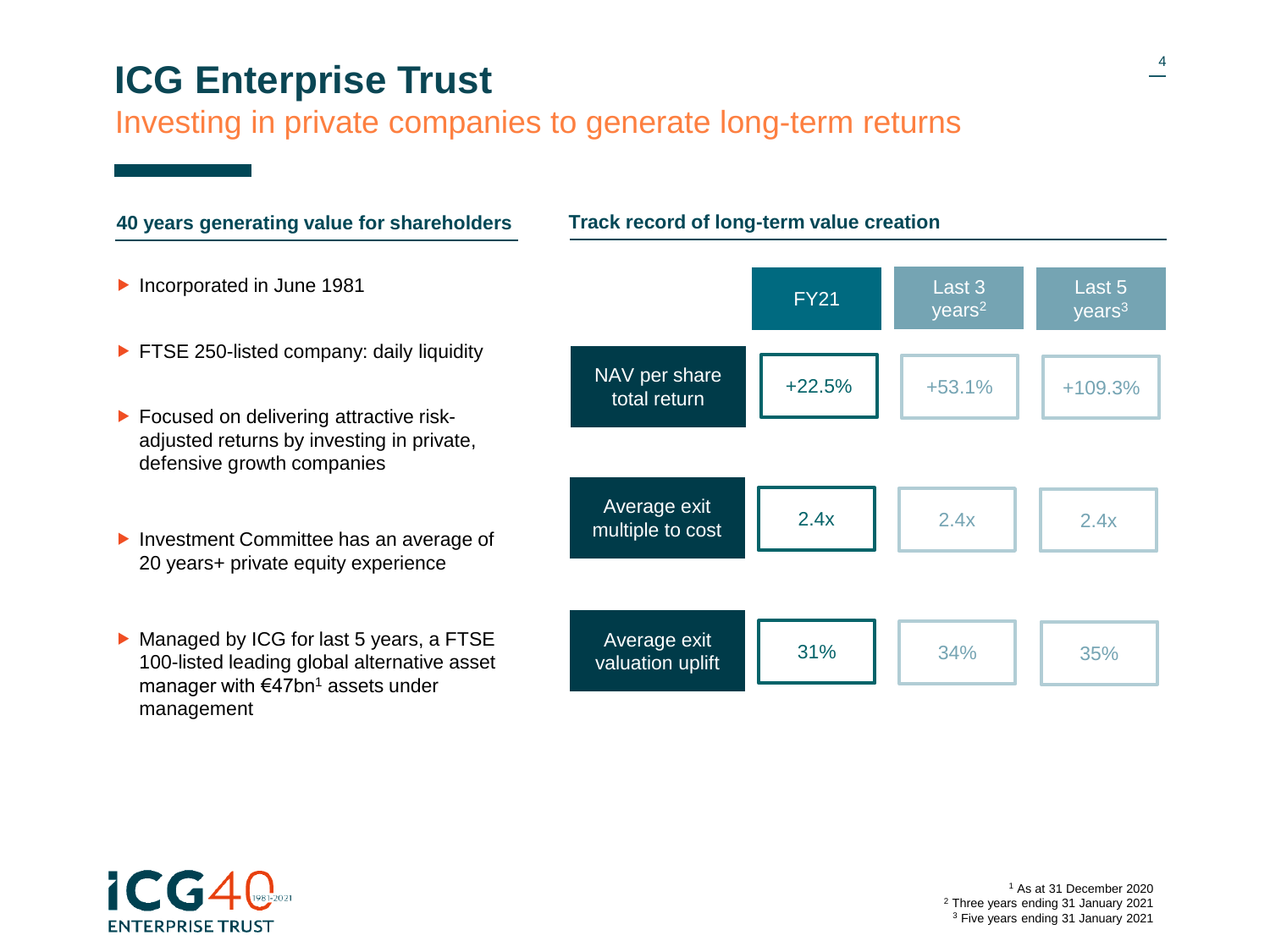# **ICG Enterprise Trust**

#### Investing in private companies to generate long-term returns





<sup>1</sup> As at 31 December 2020 <sup>2</sup> Three years ending 31 January 2021 <sup>3</sup> Five years ending 31 January 2021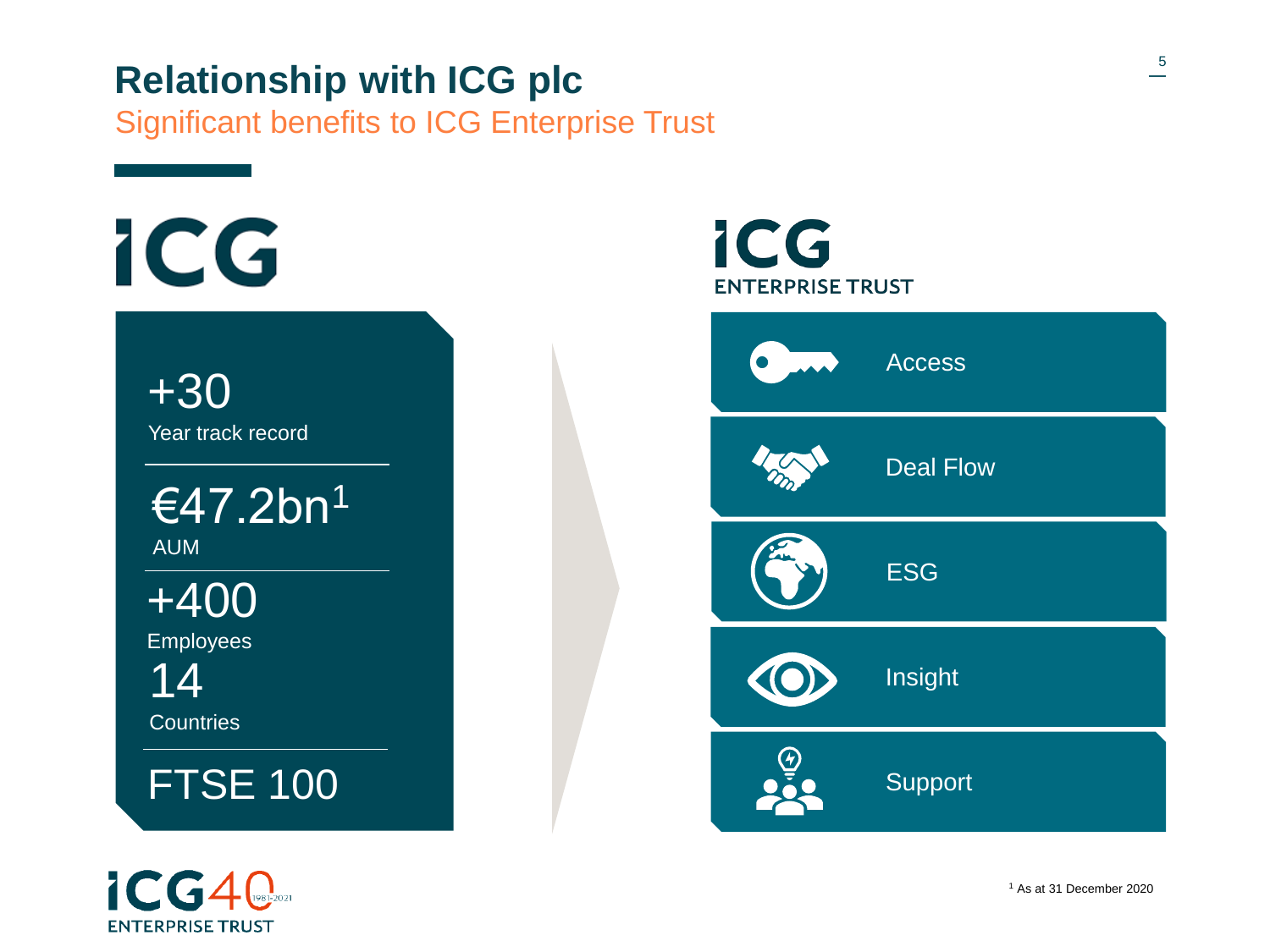## **Relationship with ICG plc**

Significant benefits to ICG Enterprise Trust



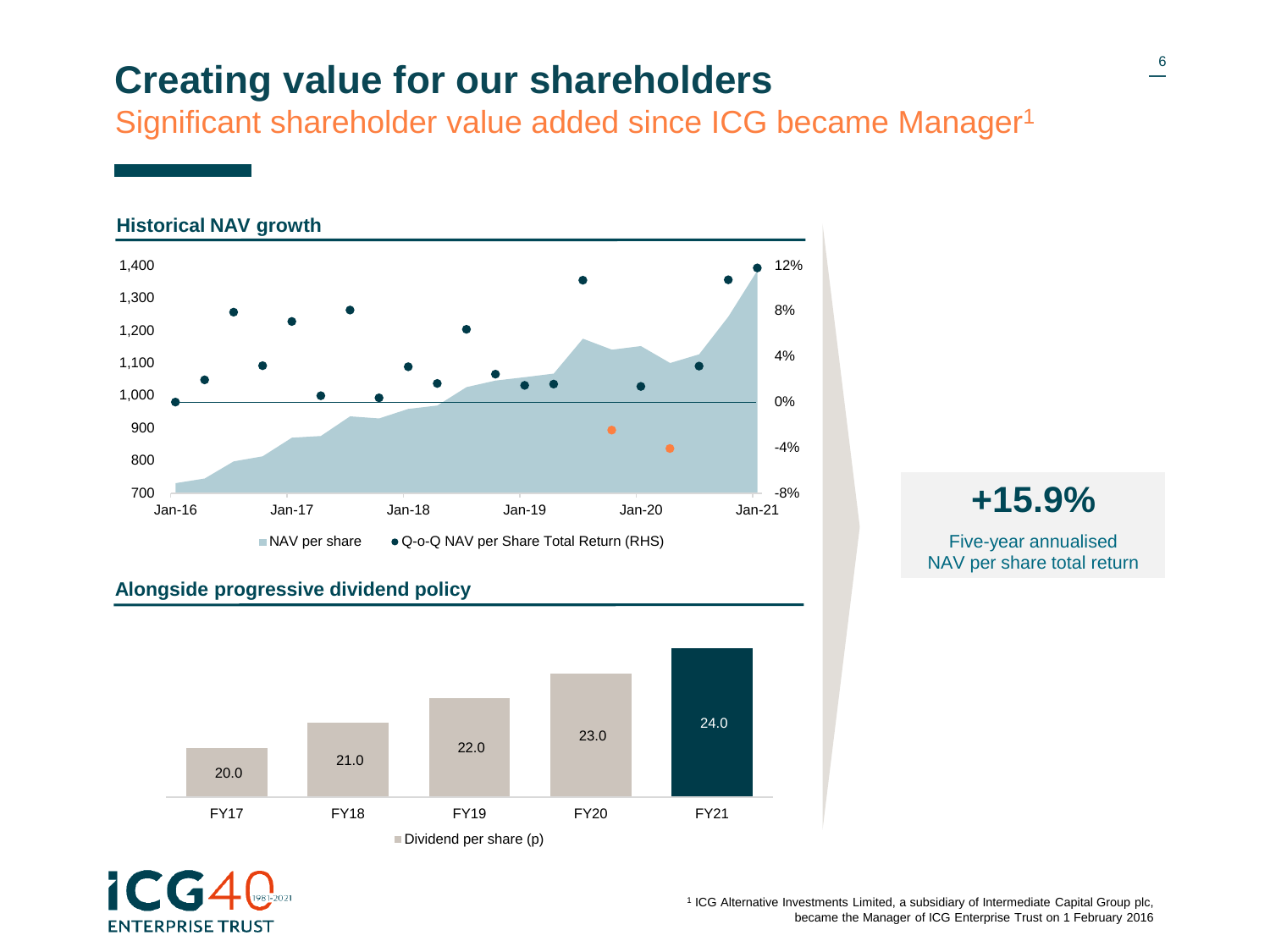## **Creating value for our shareholders**

Significant shareholder value added since ICG became Manager<sup>1</sup>



#### **Alongside progressive dividend policy**





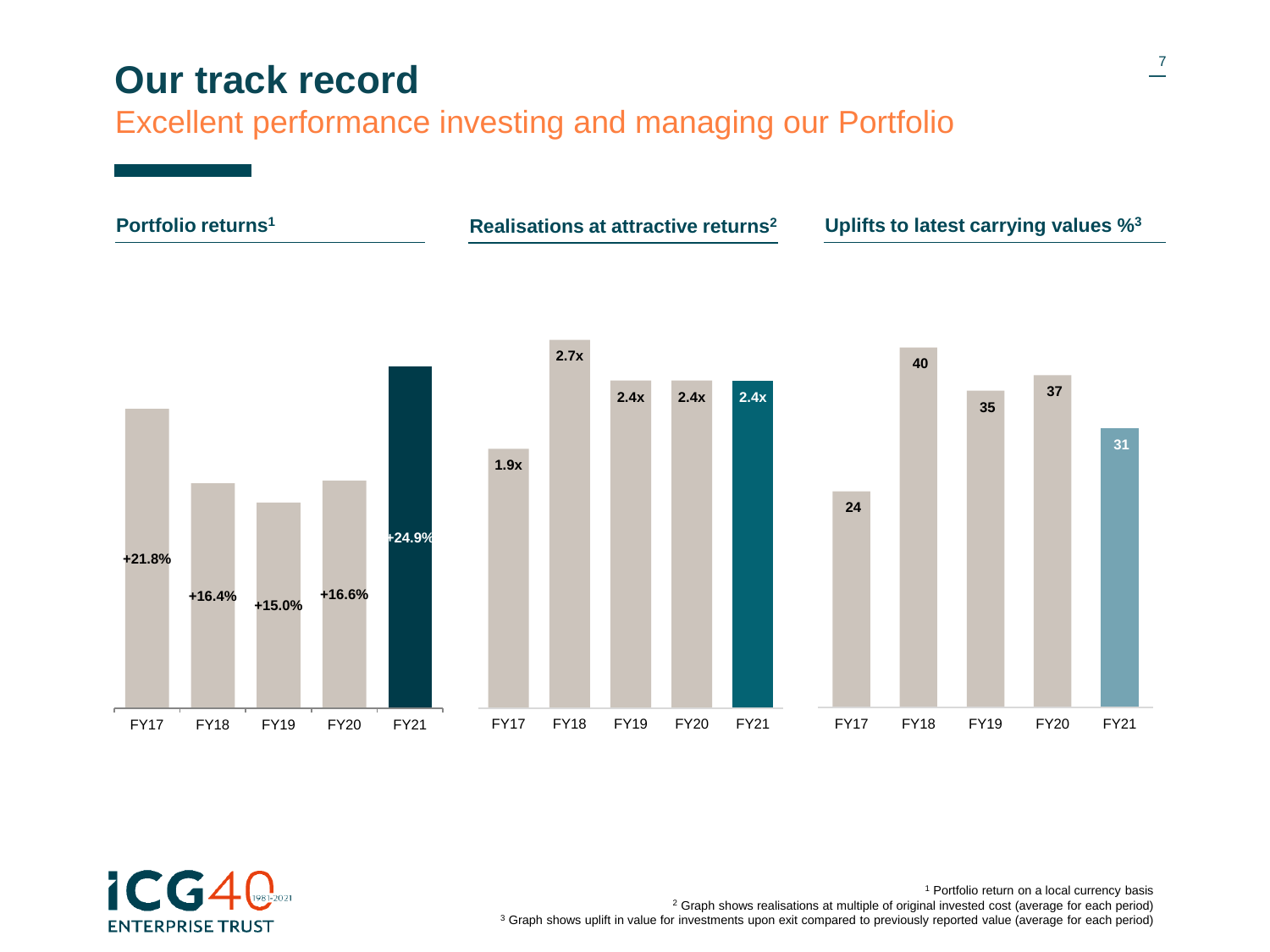### **Our track record**

Excellent performance investing and managing our Portfolio





<sup>1</sup> Portfolio return on a local currency basis <sup>2</sup> Graph shows realisations at multiple of original invested cost (average for each period) <sup>3</sup> Graph shows uplift in value for investments upon exit compared to previously reported value (average for each period)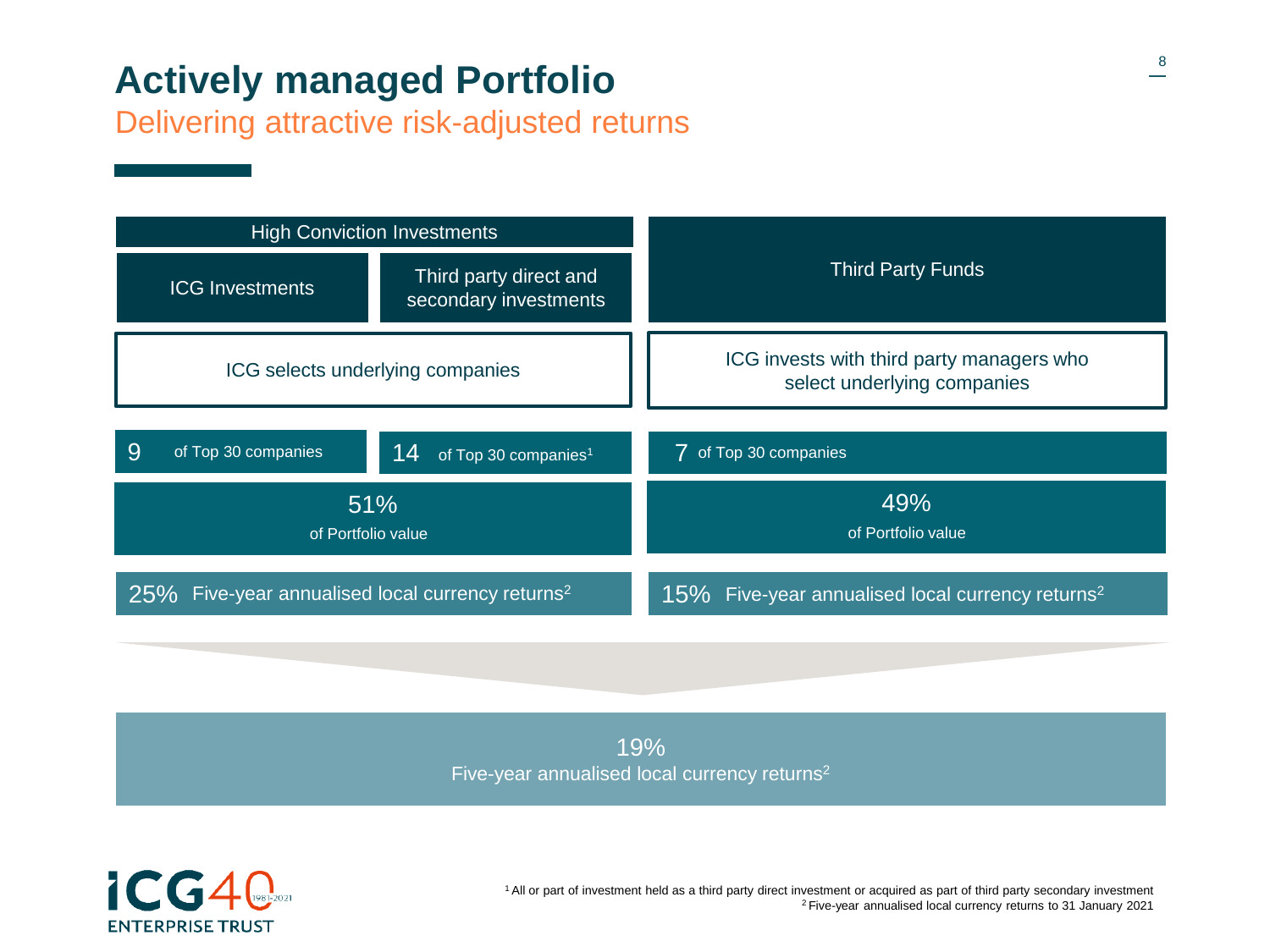## **Actively managed Portfolio**

Delivering attractive risk-adjusted returns



19% Five-year annualised local currency returns<sup>2</sup>



<sup>1</sup>All or part of investment held as a third party direct investment or acquired as part of third party secondary investment <sup>2</sup>Five-year annualised local currency returns to 31 January 2021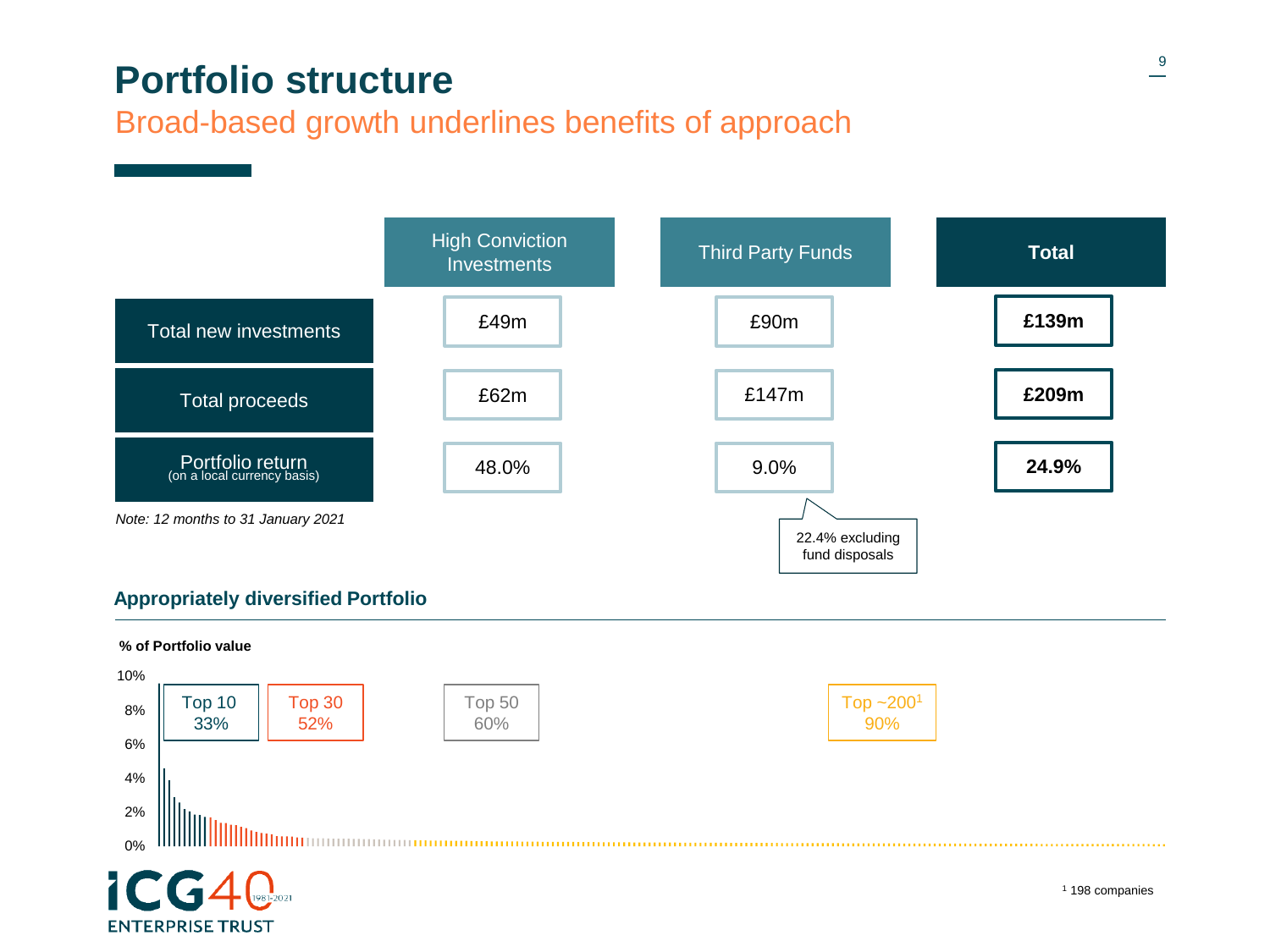### **Portfolio structure**

#### Broad-based growth underlines benefits of approach



#### **Appropriately diversified Portfolio**

**ENTERPRISE TRUST** 

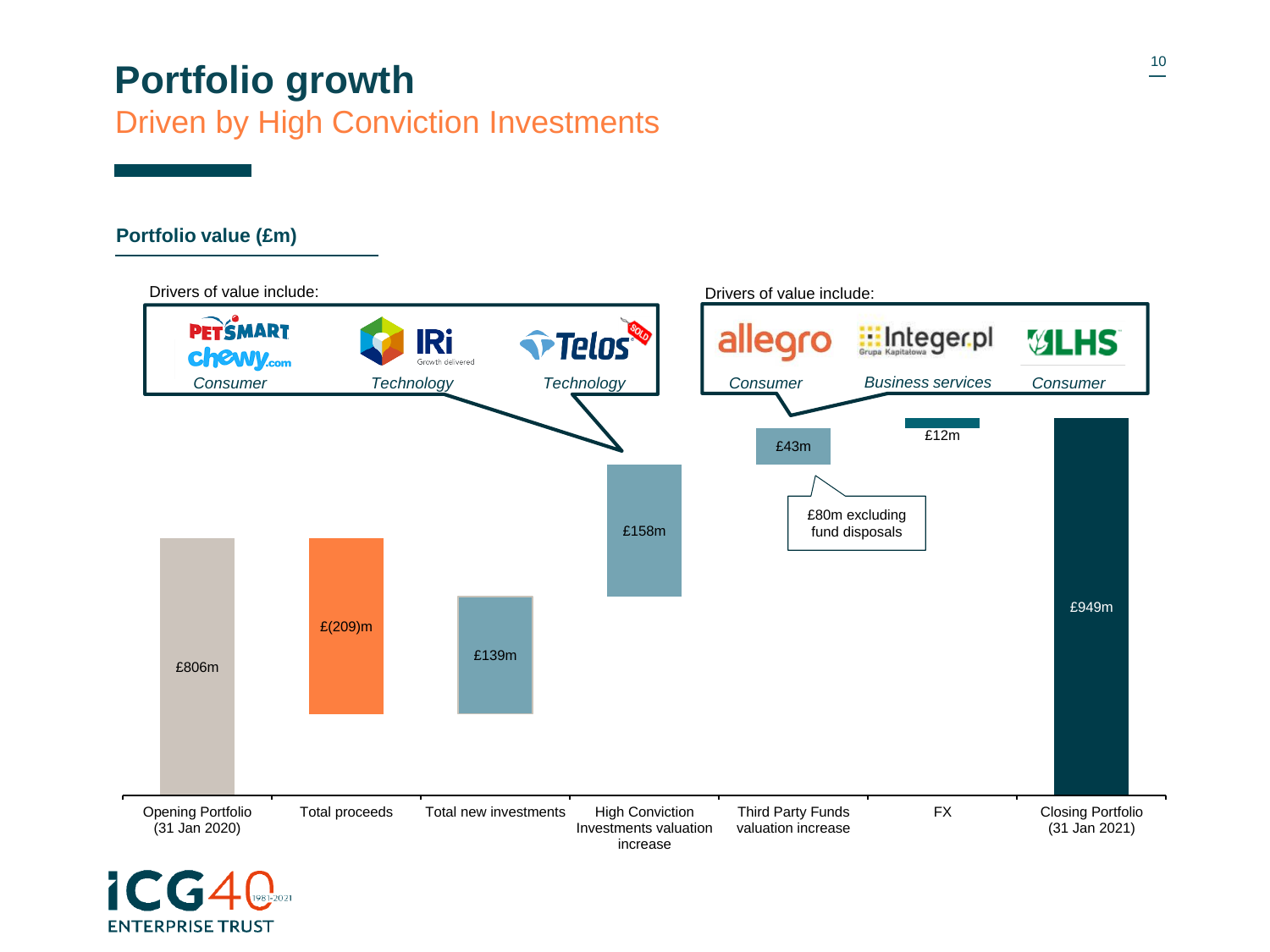### **10 Portfolio growth** Driven by High Conviction Investments

#### **Portfolio value (£m)**

**ENTERPRISE TRUST** 

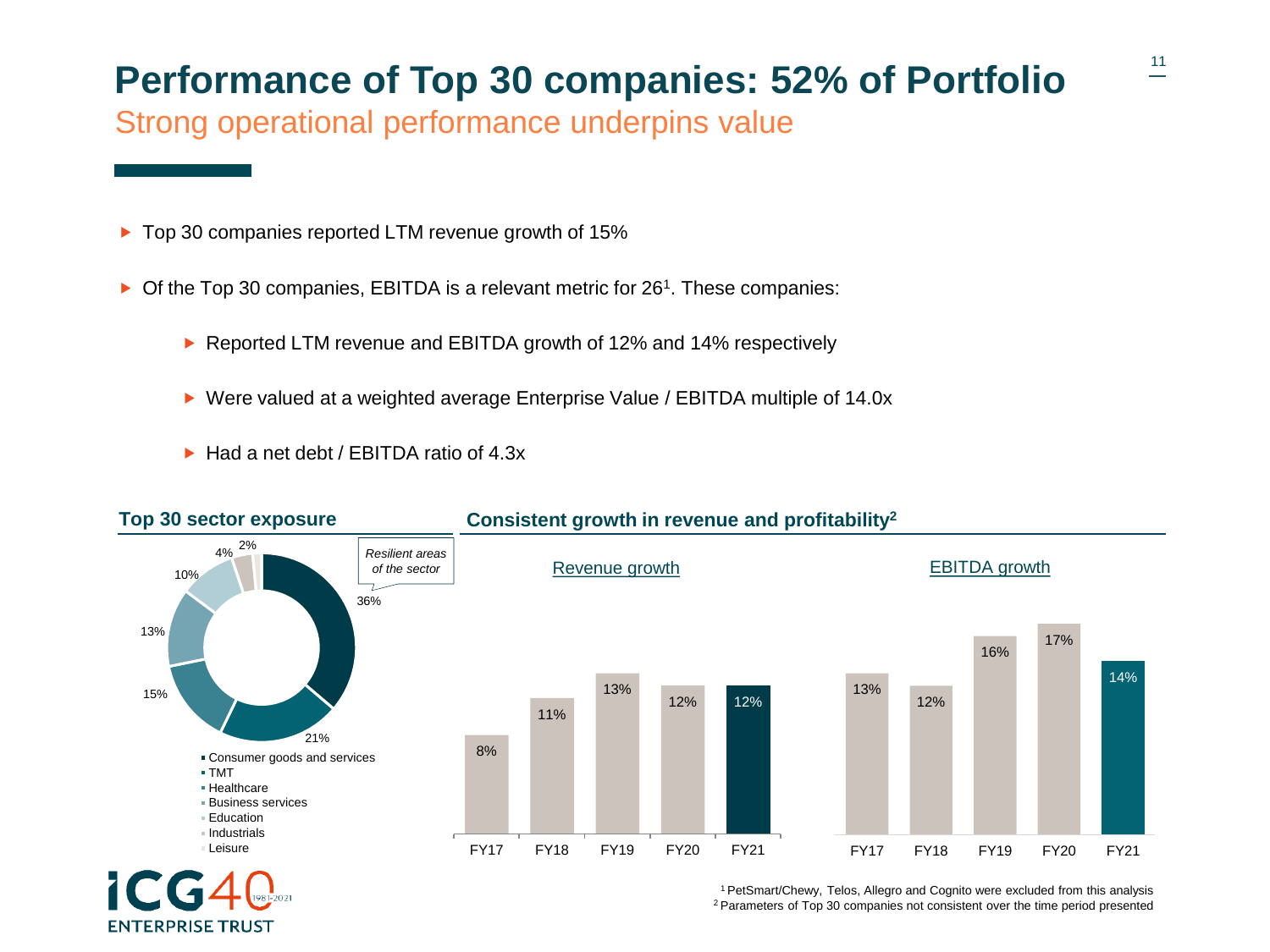### **Performance of Top 30 companies: 52% of Portfolio**

Strong operational performance underpins value

- ▶ Top 30 companies reported LTM revenue growth of 15%
- ▶ Of the Top 30 companies, EBITDA is a relevant metric for 26<sup>1</sup>. These companies:
	- ▶ Reported LTM revenue and EBITDA growth of 12% and 14% respectively
	- ▶ Were valued at a weighted average Enterprise Value / EBITDA multiple of 14.0x
	- ► Had a net debt / EBITDA ratio of 4.3x

**ENTERPRISE TRUST** 



**Consistent growth in revenue and profitability<sup>2</sup>**

<sup>1</sup>PetSmart/Chewy, Telos, Allegro and Cognito were excluded from this analysis 2 Parameters of Top 30 companies not consistent over the time period presented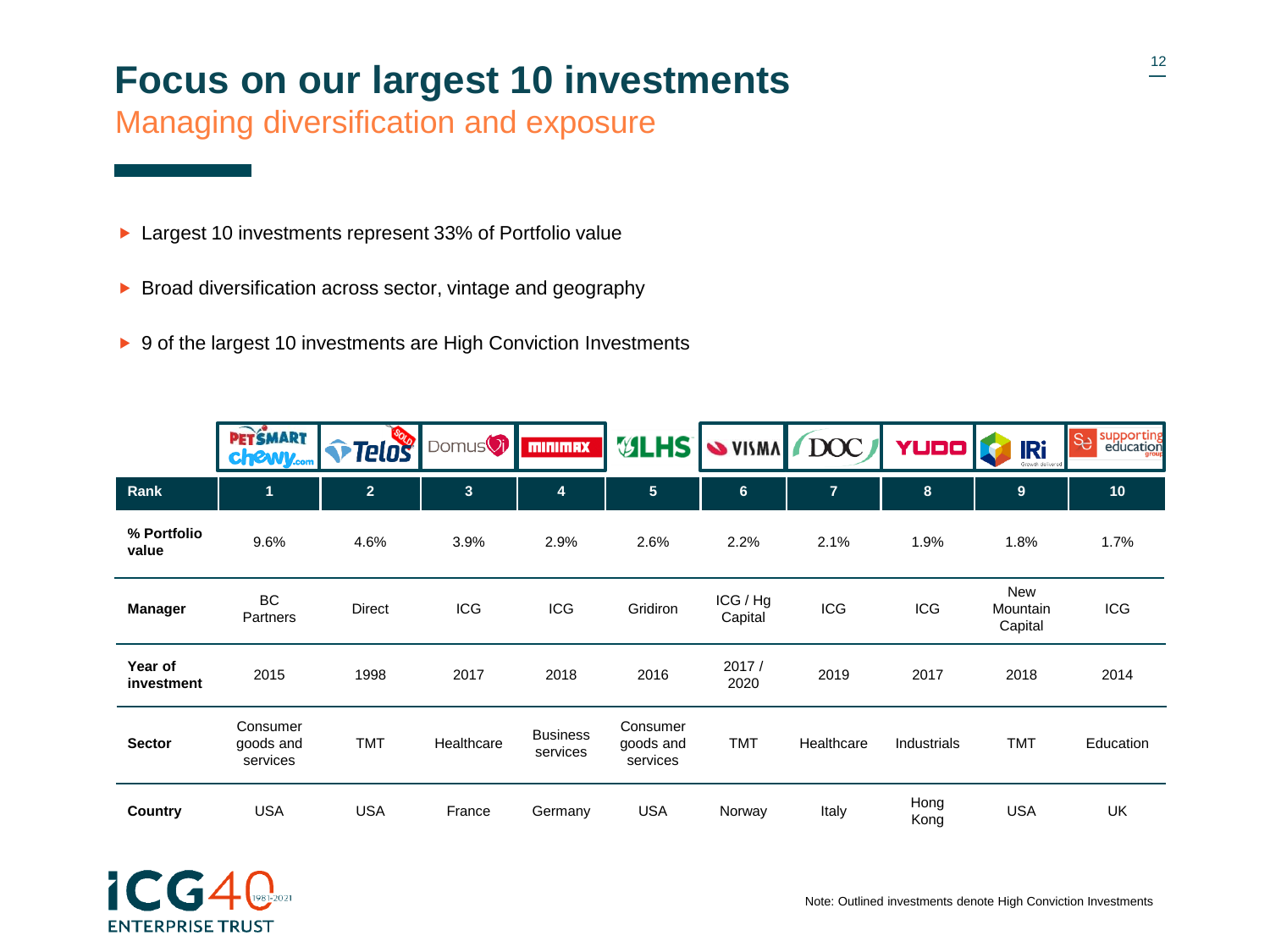# **Focus on our largest 10 investments**

Managing diversification and exposure

- ▶ Largest 10 investments represent 33% of Portfolio value
- $\triangleright$  Broad diversification across sector, vintage and geography
- ▶ 9 of the largest 10 investments are High Conviction Investments

|                       | <b>PETŚMART</b><br><b>chewy.com</b> | Telos          | Domus <sup>()</sup> | <b>MINIMAX</b>              | <b>ULHS</b>                       |                     | VISMA DOC      | <b>YUDO</b>  | <b>IRi</b><br>Growth delivered | supporting<br>education<br>SS |
|-----------------------|-------------------------------------|----------------|---------------------|-----------------------------|-----------------------------------|---------------------|----------------|--------------|--------------------------------|-------------------------------|
| Rank                  | 1                                   | $\overline{2}$ | 3                   | 4                           | $5\phantom{.0}$                   | $6\phantom{1}$      | $\overline{7}$ | 8            | 9                              | 10                            |
| % Portfolio<br>value  | 9.6%                                | 4.6%           | 3.9%                | 2.9%                        | 2.6%                              | 2.2%                | 2.1%           | 1.9%         | 1.8%                           | 1.7%                          |
| <b>Manager</b>        | BC<br>Partners                      | <b>Direct</b>  | <b>ICG</b>          | <b>ICG</b>                  | Gridiron                          | ICG / Hg<br>Capital | <b>ICG</b>     | <b>ICG</b>   | New<br>Mountain<br>Capital     | <b>ICG</b>                    |
| Year of<br>investment | 2015                                | 1998           | 2017                | 2018                        | 2016                              | 2017/<br>2020       | 2019           | 2017         | 2018                           | 2014                          |
| <b>Sector</b>         | Consumer<br>goods and<br>services   | <b>TMT</b>     | Healthcare          | <b>Business</b><br>services | Consumer<br>goods and<br>services | <b>TMT</b>          | Healthcare     | Industrials  | <b>TMT</b>                     | Education                     |
| Country               | <b>USA</b>                          | <b>USA</b>     | France              | Germany                     | <b>USA</b>                        | Norway              | Italy          | Hong<br>Kong | <b>USA</b>                     | UK                            |

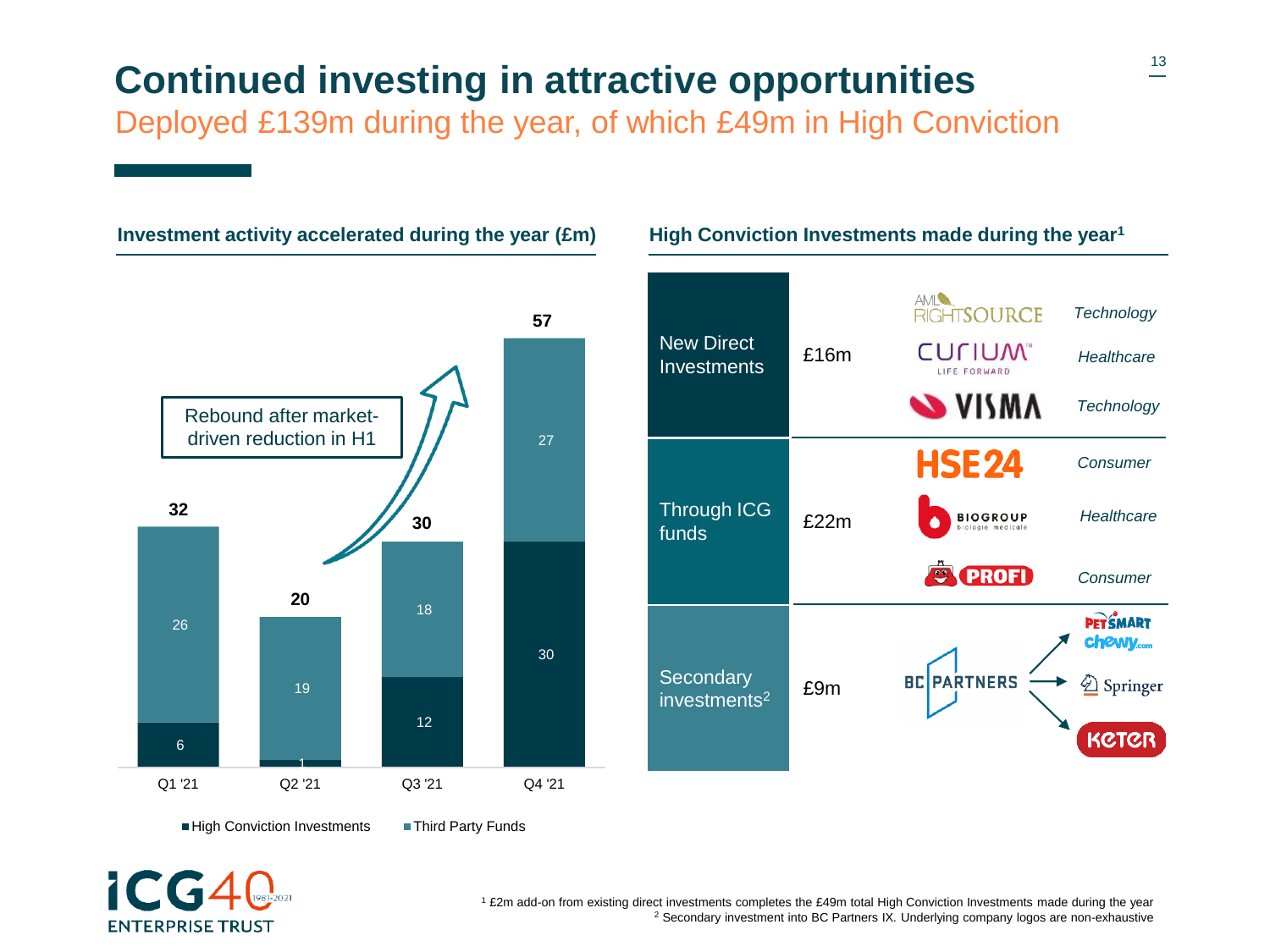# **Continued investing in attractive opportunities**

Deployed £139m during the year, of which £49m in High Conviction

#### 6 1 12 30 26 19 18 27 Q1 '21 Q2 '21 Q3 '21 Q4 '21 **32 20 30** driven reduction in H1

**Investment activity accelerated during the year (£m)**



**High Conviction Investments made during the year<sup>1</sup>**

High Conviction Investments Third Party Funds



<sup>1</sup> £2m add-on from existing direct investments completes the £49m total High Conviction Investments made during the year <sup>2</sup> Secondary investment into BC Partners IX. Underlying company logos are non-exhaustive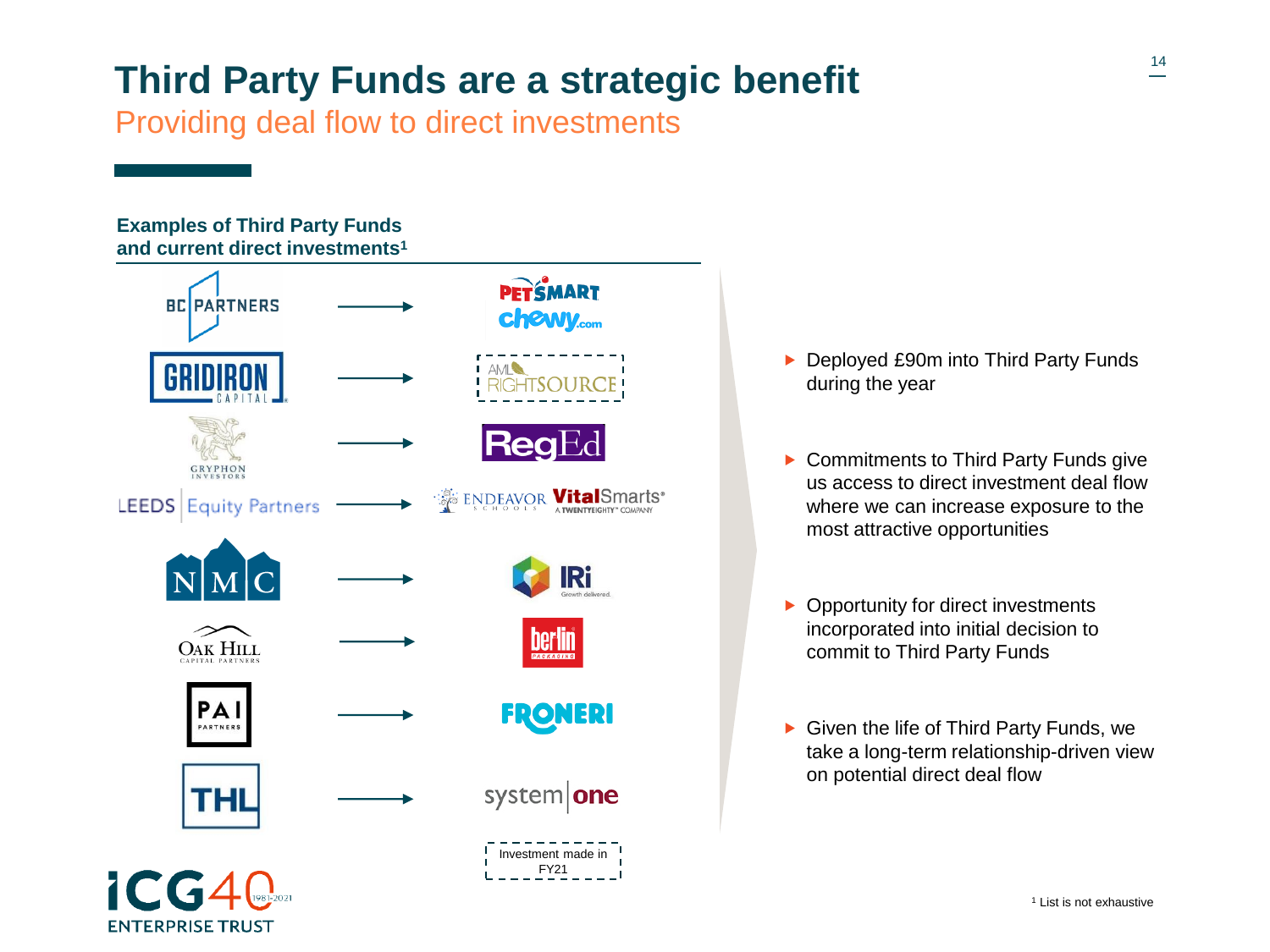# <sup>14</sup> **Third Party Funds are a strategic benefit**

Providing deal flow to direct investments

#### **Examples of Third Party Funds and current direct investments<sup>1</sup> PETSMART BC PARTNERS** chewy.com GRYPHON **ENDEAVOR VitalSmarts\* LEEDS** Equity Partners **IRi berlin OAK HILL** PAI **FRONERI** PARTNERS system one THL Investment made in FY21

**ENTERPRISE TRUST** 

- ▶ Deployed £90m into Third Party Funds during the year
- ▶ Commitments to Third Party Funds give us access to direct investment deal flow where we can increase exposure to the most attractive opportunities
- ▶ Opportunity for direct investments incorporated into initial decision to commit to Third Party Funds
- Given the life of Third Party Funds, we take a long-term relationship-driven view on potential direct deal flow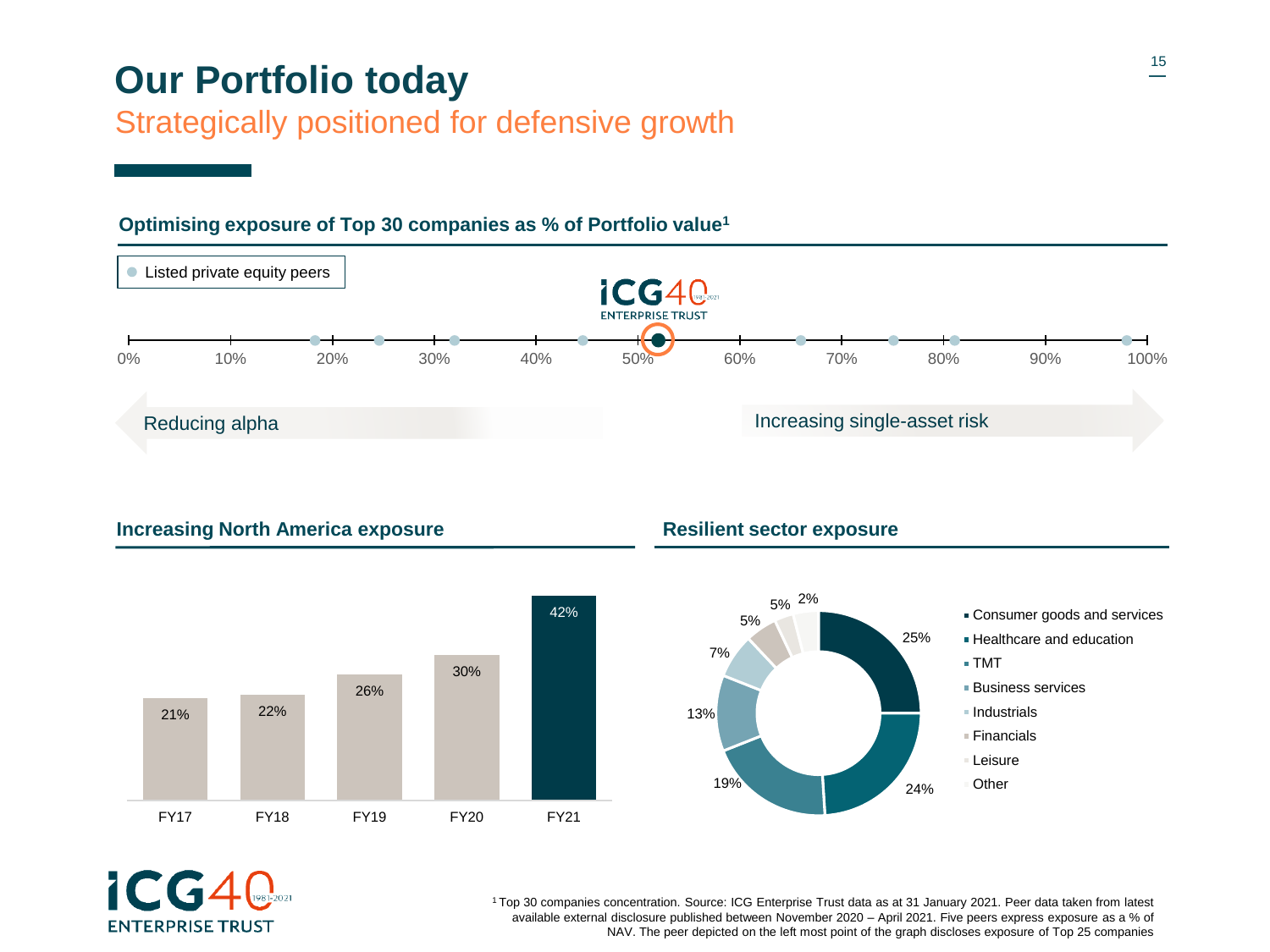### **Our Portfolio today**

#### Strategically positioned for defensive growth



#### **Optimising exposure of Top 30 companies as % of Portfolio value<sup>1</sup>**

**Increasing North America exposure Resilient sector exposure** 







<sup>1</sup>Top 30 companies concentration. Source: ICG Enterprise Trust data as at 31 January 2021. Peer data taken from latest available external disclosure published between November 2020 – April 2021. Five peers express exposure as a % of NAV. The peer depicted on the left most point of the graph discloses exposure of Top 25 companies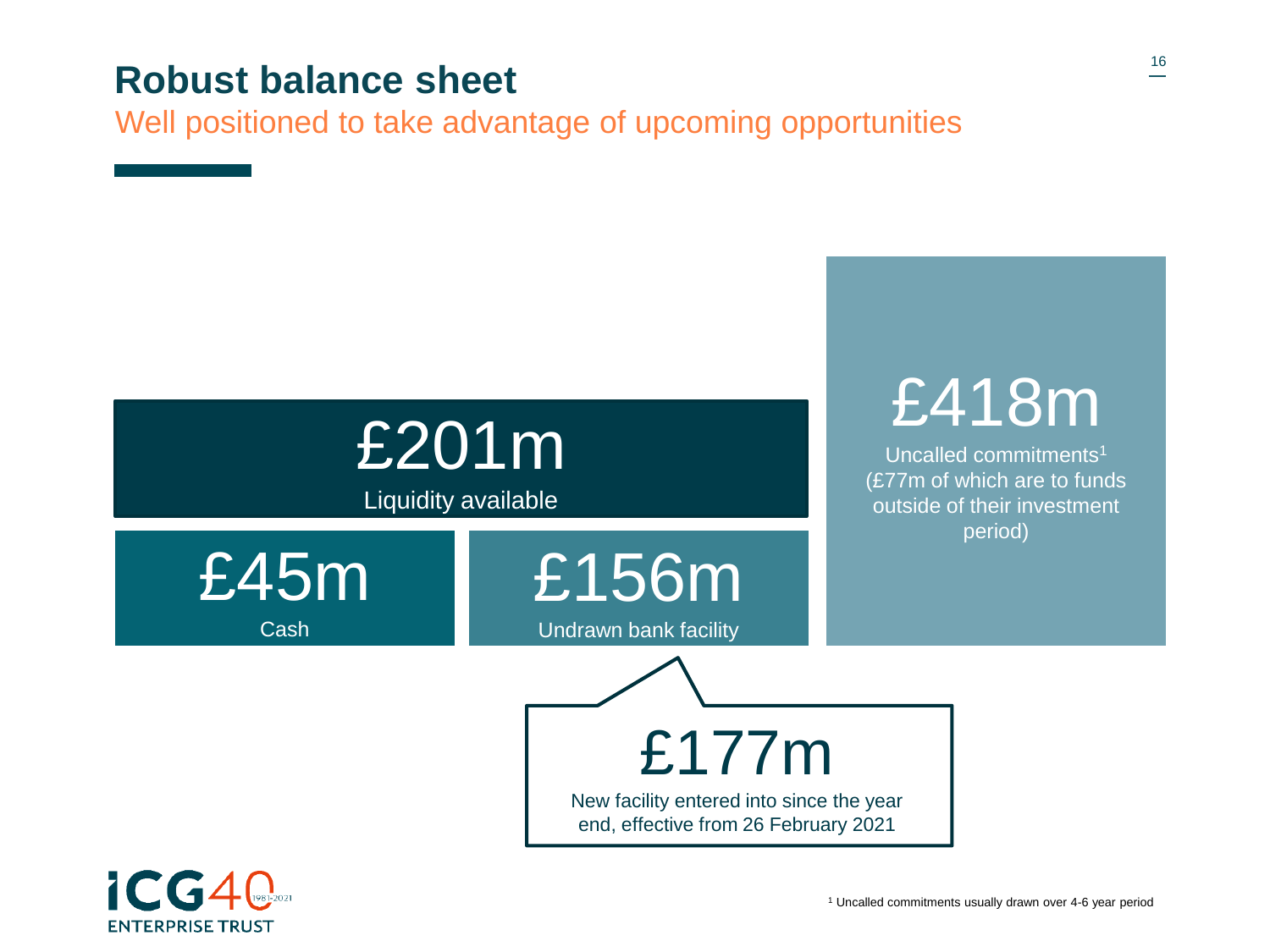#### **Robust balance sheet**

Well positioned to take advantage of upcoming opportunities



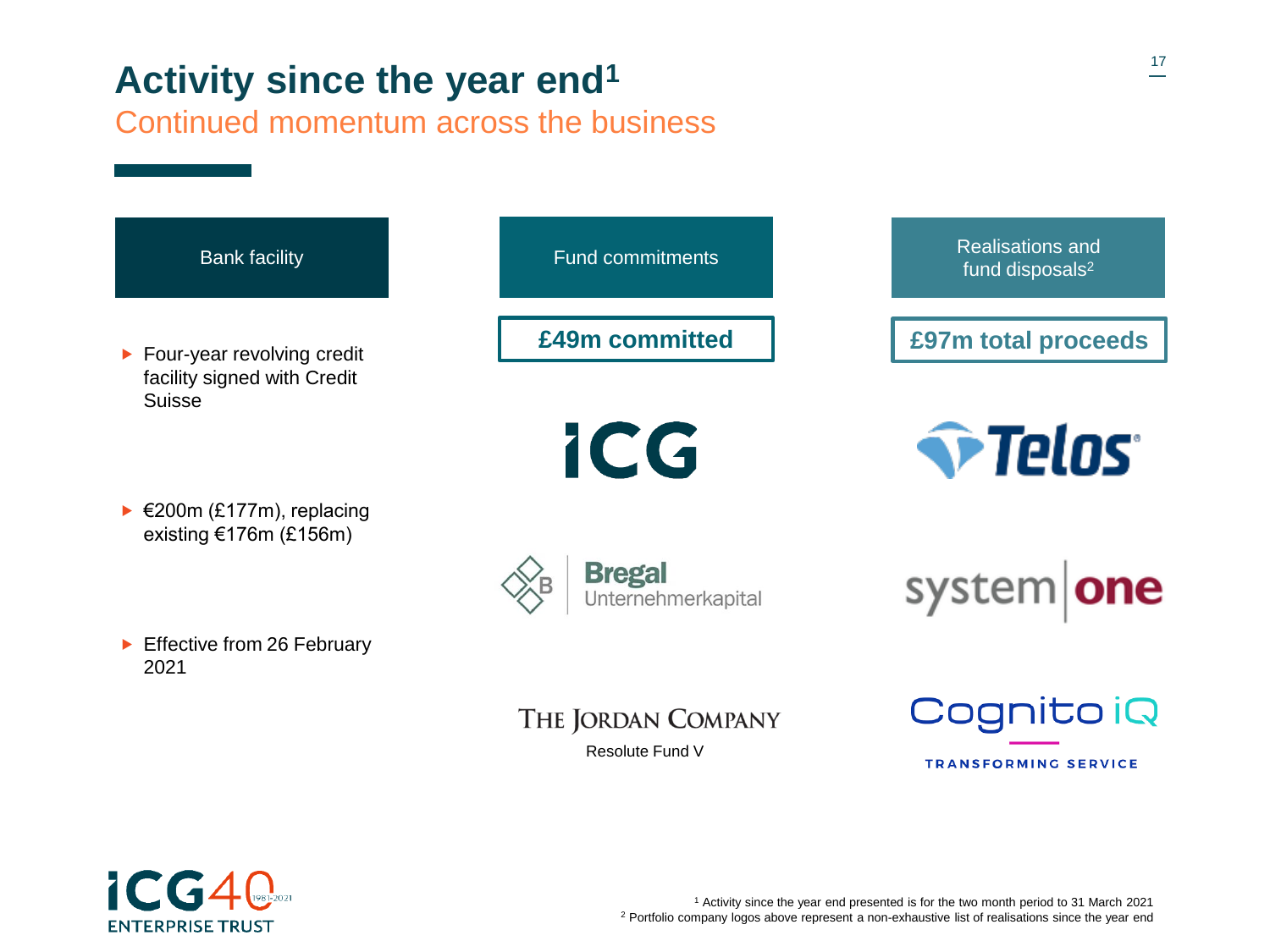# **Activity since the year end<sup>1</sup>**

Continued momentum across the business





<sup>1</sup> Activity since the year end presented is for the two month period to 31 March 2021 <sup>2</sup> Portfolio company logos above represent a non-exhaustive list of realisations since the year end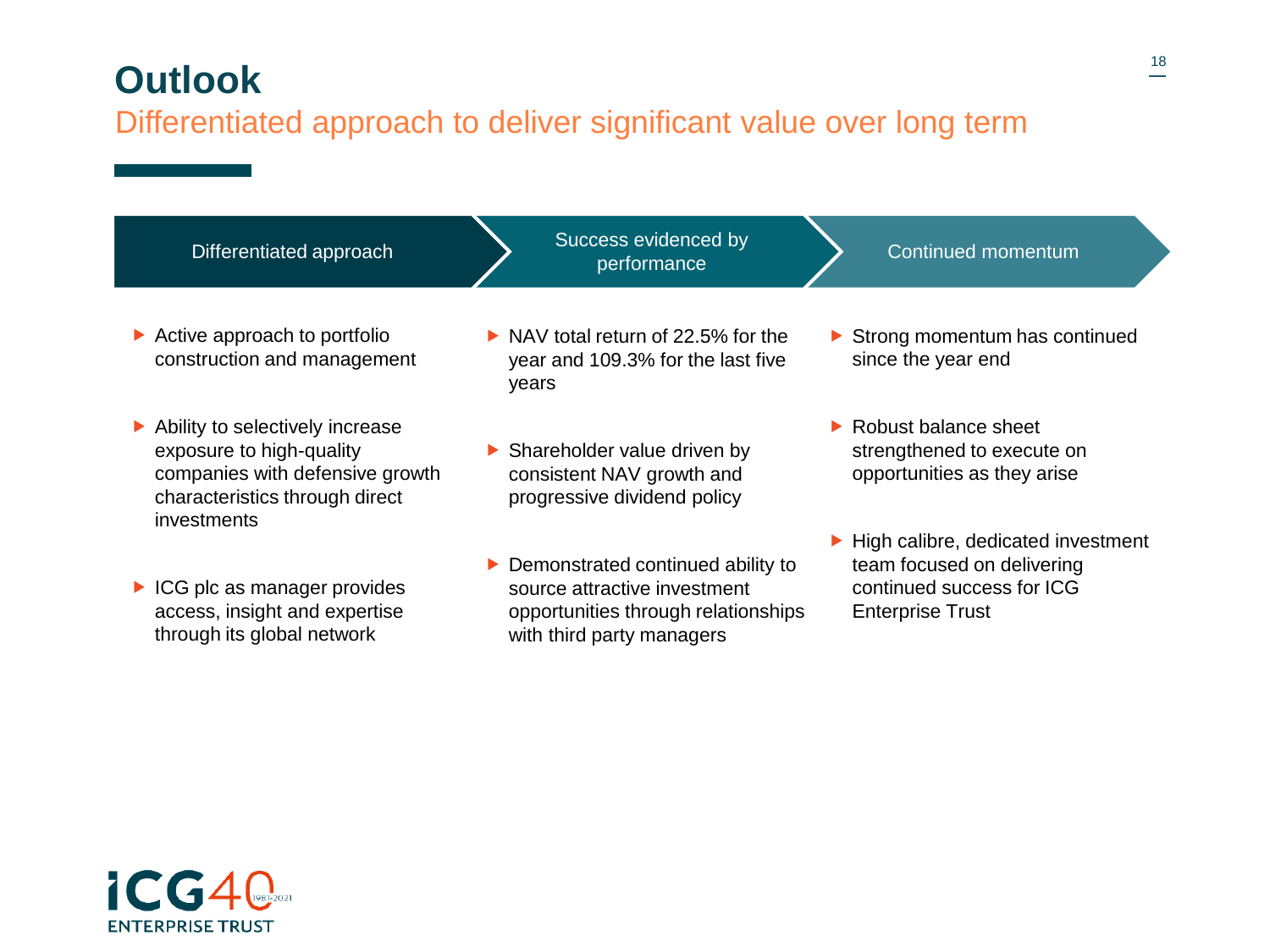### **Outlook**

#### Differentiated approach to deliver significant value over long term

| Differentiated approach                                                                                                                         | Success evidenced by<br>performance                                                                                                                    | Continued momentum                                                                                                                             |
|-------------------------------------------------------------------------------------------------------------------------------------------------|--------------------------------------------------------------------------------------------------------------------------------------------------------|------------------------------------------------------------------------------------------------------------------------------------------------|
| $\triangleright$ Active approach to portfolio<br>construction and management                                                                    | $\triangleright$ NAV total return of 22.5% for the<br>year and 109.3% for the last five<br>years                                                       | $\triangleright$ Strong momentum has continued<br>since the year end                                                                           |
| Ability to selectively increase<br>exposure to high-quality<br>companies with defensive growth<br>characteristics through direct<br>investments | $\triangleright$ Shareholder value driven by<br>consistent NAV growth and<br>progressive dividend policy                                               | $\blacktriangleright$ Robust balance sheet<br>strengthened to execute on<br>opportunities as they arise                                        |
| $\triangleright$ ICG plc as manager provides<br>access, insight and expertise<br>through its global network                                     | $\triangleright$ Demonstrated continued ability to<br>source attractive investment<br>opportunities through relationships<br>with third party managers | $\blacktriangleright$ High calibre, dedicated investment<br>team focused on delivering<br>continued success for ICG<br><b>Enterprise Trust</b> |